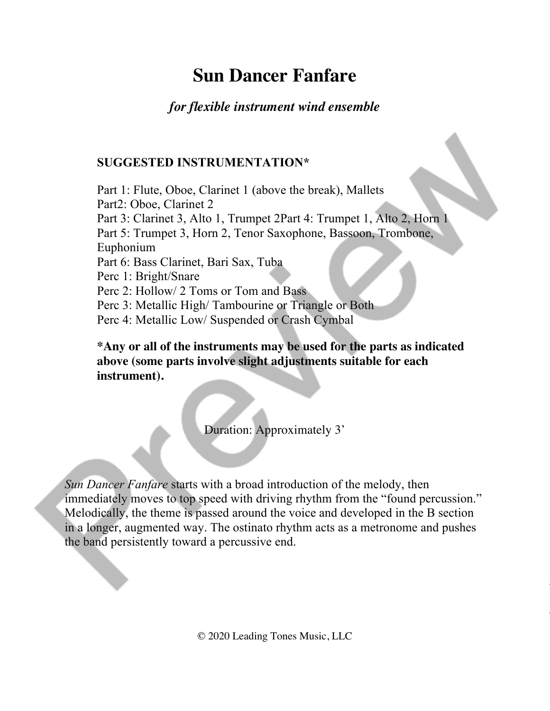# **Sun Dancer Fanfare**

## *for flexible instrument wind ensemble*

## **SUGGESTED INSTRUMENTATION\***

Part 1: Flute, Oboe, Clarinet 1 (above the break), Mallets Part2: Oboe, Clarinet 2 Part 3: Clarinet 3, Alto 1, Trumpet 2Part 4: Trumpet 1, Alto 2, Horn 1 Part 5: Trumpet 3, Horn 2, Tenor Saxophone, Bassoon, Trombone, Euphonium Part 6: Bass Clarinet, Bari Sax, Tuba Perc 1: Bright/Snare Perc 2: Hollow/ 2 Toms or Tom and Bass Perc 3: Metallic High/ Tambourine or Triangle or Both Perc 4: Metallic Low/ Suspended or Crash Cymbal

**\*Any or all of the instruments may be used for the parts as indicated above (some parts involve slight adjustments suitable for each instrument).** 

Duration: Approximately 3'

*Sun Dancer Fanfare* starts with a broad introduction of the melody, then immediately moves to top speed with driving rhythm from the "found percussion." Melodically, the theme is passed around the voice and developed in the B section in a longer, augmented way. The ostinato rhythm acts as a metronome and pushes the band persistently toward a percussive end.

© 2020 Leading Tones Music, LLC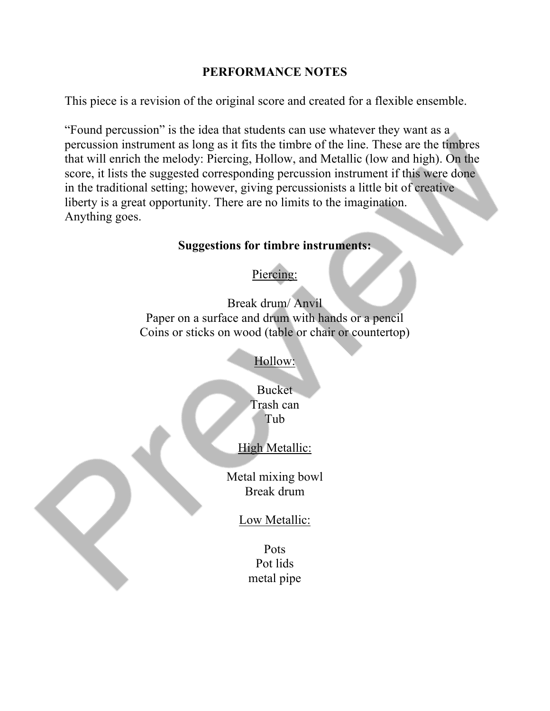#### **PERFORMANCE NOTES**

This piece is a revision of the original score and created for a flexible ensemble.

"Found percussion" is the idea that students can use whatever they want as a percussion instrument as long as it fits the timbre of the line. These are the timbres that will enrich the melody: Piercing, Hollow, and Metallic (low and high). On the score, it lists the suggested corresponding percussion instrument if this were done in the traditional setting; however, giving percussionists a little bit of creative liberty is a great opportunity. There are no limits to the imagination. Anything goes.

#### **Suggestions for timbre instruments:**

## Piercing:

Break drum/ Anvil Paper on a surface and drum with hands or a pencil Coins or sticks on wood (table or chair or countertop)

Hollow:

Bucket Trash can Tub

## High Metallic:

Metal mixing bowl Break drum

### Low Metallic:

Pots Pot lids metal pipe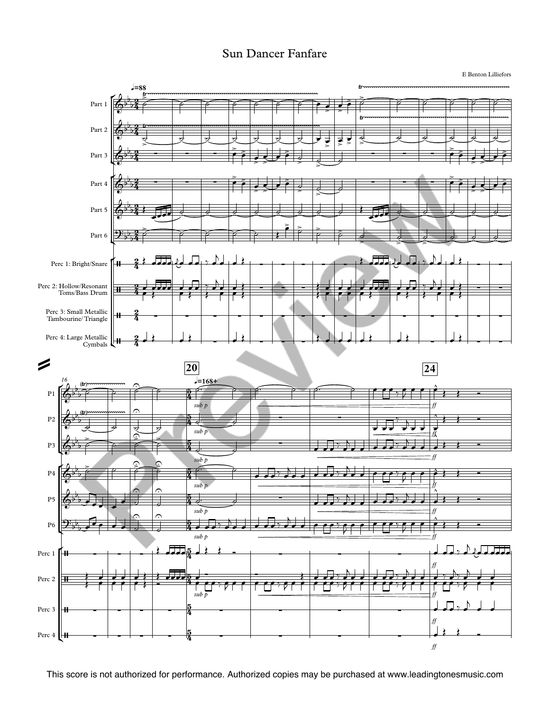#### Sun Dancer Fanfare

E Benton Lilliefors

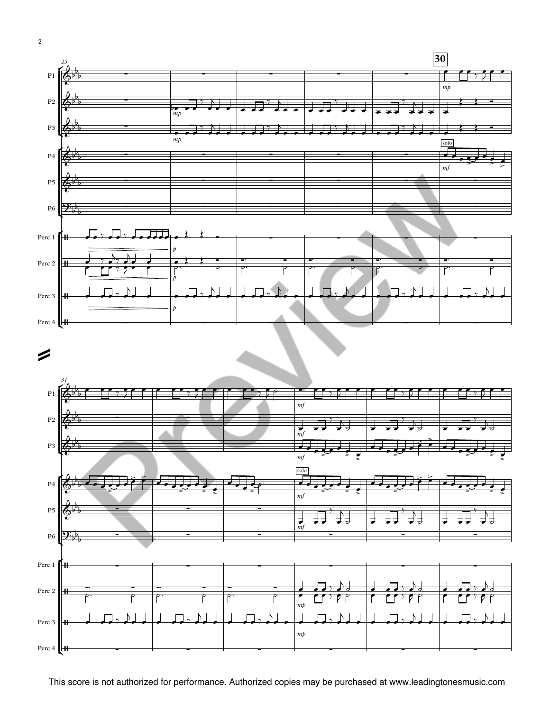





2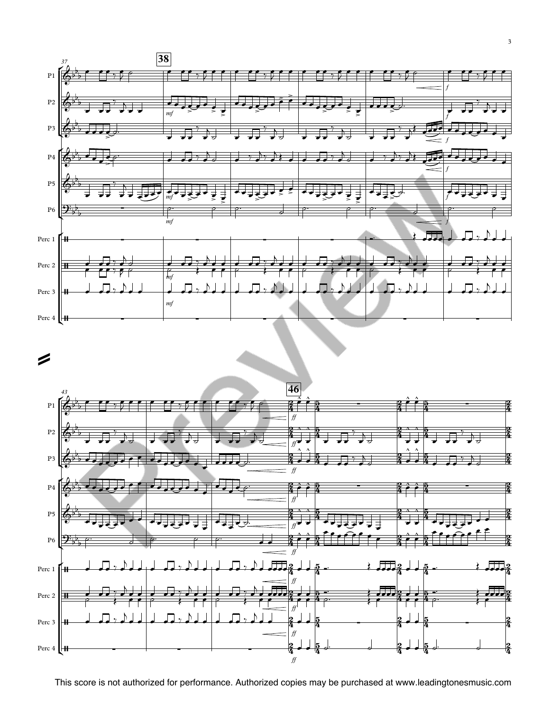



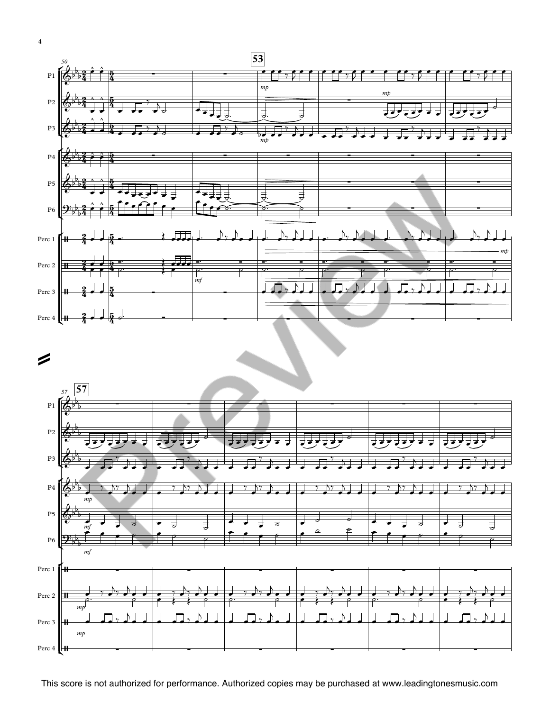



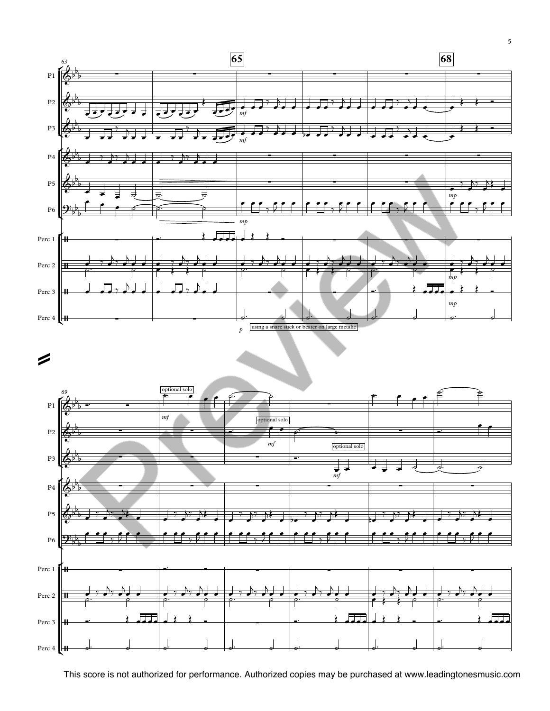



5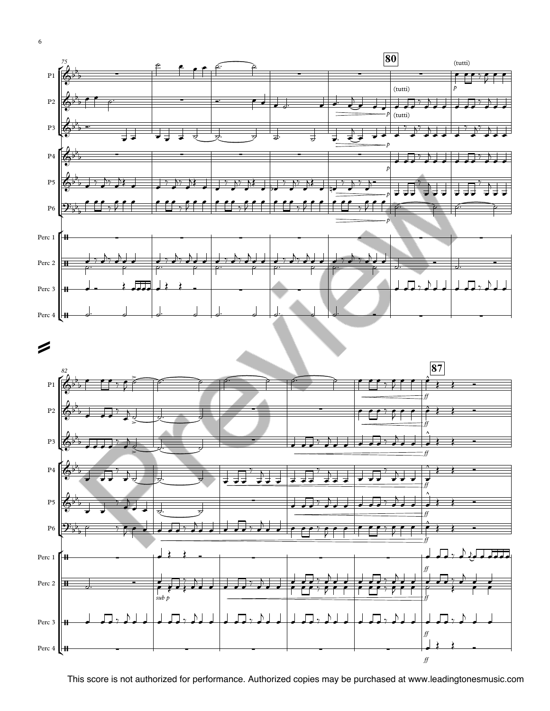



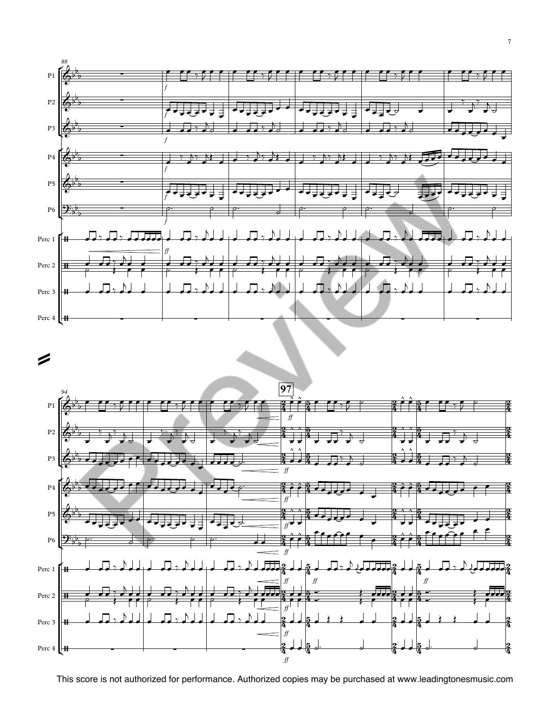